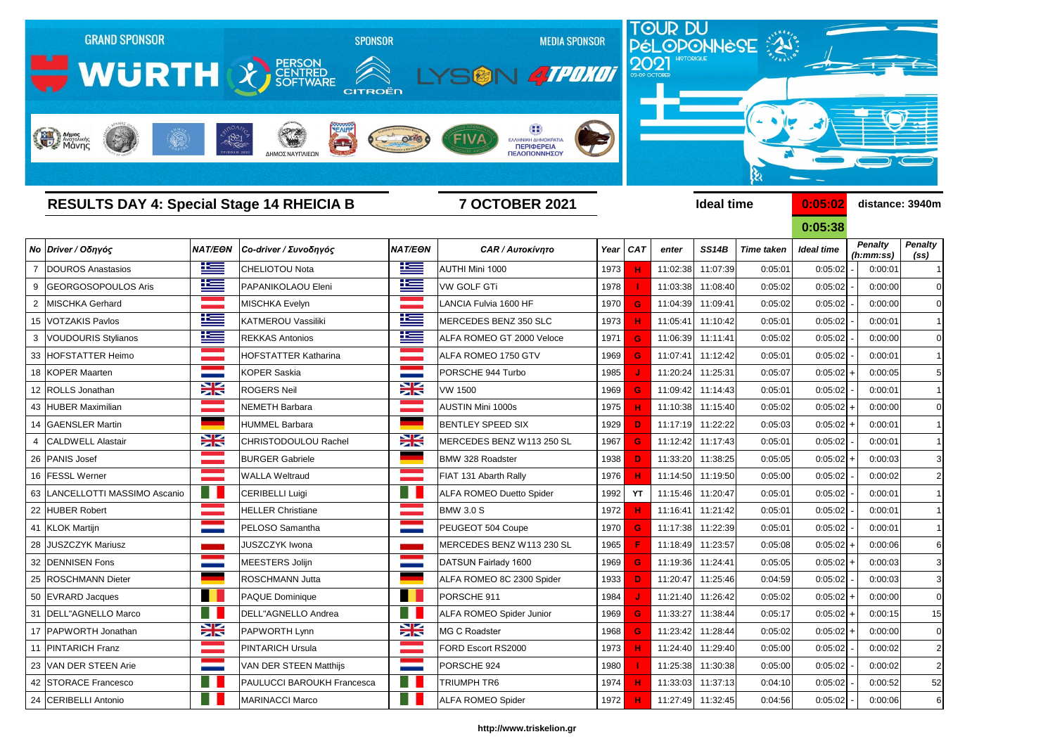

|    |                                  |                   |                             |                          |                                 |      |            |          |                   |                   | <u>U.UJ.JO</u>    |                             |                                     |
|----|----------------------------------|-------------------|-----------------------------|--------------------------|---------------------------------|------|------------|----------|-------------------|-------------------|-------------------|-----------------------------|-------------------------------------|
|    | Νο Driver / Οδηγός               | <b>NAT/EON</b>    | Co-driver / Συνοδηγός       | <b>NAT/EON</b>           | <b>CAR / Αυτοκίνητο</b>         | Year | <b>CAT</b> | enter    | <b>SS14B</b>      | <b>Time taken</b> | <b>Ideal time</b> | <b>Penalty</b><br>(h:mm:ss) | <b>Penalty</b><br>(s <sub>s</sub> ) |
|    | DOUROS Anastasios                | <u>ik –</u>       | <b>CHELIOTOU Nota</b>       | <u>ik s</u>              | AUTHI Mini 1000                 | 1973 | н          | 11:02:38 | 11:07:39          | 0:05:01           | 0:05:02           | 0:00:01                     |                                     |
| 9  | GEORGOSOPOULOS Aris              | ٢                 | PAPANIKOLAOU Eleni          | <u>ik –</u>              | <b>VW GOLF GTi</b>              | 1978 |            | 11:03:38 | 11:08:40          | 0:05:02           | 0:05:02           | 0:00:00                     | C                                   |
| 2  | <b>MISCHKA Gerhard</b>           |                   | MISCHKA Evelyn              | <b>Contract Contract</b> | LANCIA Fulvia 1600 HF           | 1970 | G          | 11:04:39 | 11:09:41          | 0:05:02           | 0:05:02           | 0:00:00                     | C                                   |
|    | 15 VOTZAKIS Pavlos               | ١Œ                | <b>KATMEROU Vassiliki</b>   | <u>ik –</u>              | MERCEDES BENZ 350 SLC           | 1973 | н          | 11:05:41 | 11:10:42          | 0:05:01           | 0:05:02           | 0:00:01                     |                                     |
|    | <b>VOUDOURIS Stylianos</b>       | <u>ik –</u>       | <b>REKKAS Antonios</b>      | 上三                       | ALFA ROMEO GT 2000 Veloce       | 1971 | G          | 11:06:39 | 11:11:41          | 0:05:02           | 0:05:02           | 0:00:00                     |                                     |
|    | 33 HOFSTATTER Heimo              | an sa bailtean    | <b>HOFSTATTER Katharina</b> |                          | ALFA ROMEO 1750 GTV             | 1969 | G          | 11:07:41 | 11:12:42          | 0:05:01           | 0:05:02           | 0:00:01                     |                                     |
|    | 18 KOPER Maarten                 |                   | <b>KOPER Saskia</b>         |                          | PORSCHE 944 Turbo               | 1985 |            | 11:20:24 | 11:25:31          | 0:05:07           | $0:05:02$ +       | 0:00:05                     |                                     |
|    | 12 ROLLS Jonathan                | X                 | <b>ROGERS Neil</b>          | $\frac{1}{\sqrt{2}}$     | <b>VW 1500</b>                  | 1969 | G.         | 11:09:42 | 11:14:43          | 0:05:01           | 0:05:02           | 0:00:01                     |                                     |
|    | 43 HUBER Maximilian              |                   | <b>NEMETH Barbara</b>       |                          | <b>AUSTIN Mini 1000s</b>        | 1975 | н          | 11:10:38 | 11:15:40          | 0:05:02           | $0:05:02$ +       | 0:00:00                     |                                     |
|    | 14 GAENSLER Martin               |                   | <b>HUMMEL Barbara</b>       |                          | <b>BENTLEY SPEED SIX</b>        | 1929 | D          | 11:17:19 | 11:22:22          | 0:05:03           | $0:05:02$ +       | 0:00:01                     |                                     |
|    | <b>CALDWELL Alastair</b>         | X                 | CHRISTODOULOU Rachel        | NZ<br>7 <sup>h</sup>     | MERCEDES BENZ W113 250 SL       | 1967 | G          | 11:12:42 | 11:17:43          | 0:05:01           | 0:05:02           | 0:00:01                     |                                     |
|    | 26 PANIS Josef                   |                   | <b>BURGER Gabriele</b>      |                          | BMW 328 Roadster                | 1938 | D.         | 11:33:20 | 11:38:25          | 0:05:05           | $0:05:02$ +       | 0:00:03                     |                                     |
|    | 16 FESSL Werner                  |                   | <b>WALLA Weltraud</b>       |                          | FIAT 131 Abarth Rally           | 1976 | н          | 11:14:50 | 11:19:50          | 0:05:00           | 0:05:02           | 0:00:02                     |                                     |
|    | 63   LANCELLOTTI MASSIMO Ascanio | ш                 | CERIBELLI Luigi             | ٠                        | <b>ALFA ROMEO Duetto Spider</b> | 1992 | <b>YT</b>  | 11:15:46 | 11:20:47          | 0:05:01           | 0:05:02           | 0:00:01                     |                                     |
|    | 22 HUBER Robert                  |                   | <b>HELLER Christiane</b>    |                          | <b>BMW 3.0 S</b>                | 1972 |            | 11:16:41 | 11:21:42          | 0:05:01           | 0:05:02           | 0:00:01                     |                                     |
|    | 41 KLOK Martijn                  |                   | PELOSO Samantha             |                          | PEUGEOT 504 Coupe               | 1970 | G          | 11:17:38 | 11:22:39          | 0:05:01           | 0:05:02           | 0:00:01                     |                                     |
| 28 | <b>JUSZCZYK Mariusz</b>          |                   | <b>JUSZCZYK Iwona</b>       |                          | MERCEDES BENZ W113 230 SL       | 1965 |            | 11:18:49 | 11:23:57          | 0:05:08           | $0:05:02$ +       | 0:00:06                     |                                     |
|    | 32 DENNISEN Fons                 |                   | MEESTERS Jolijn             |                          | DATSUN Fairlady 1600            | 1969 | G          | 11:19:36 | 11:24:41          | 0:05:05           | $0:05:02$ +       | 0:00:03                     |                                     |
|    | 25 ROSCHMANN Dieter              |                   | ROSCHMANN Jutta             |                          | ALFA ROMEO 8C 2300 Spider       | 1933 | D          | 11:20:47 | 11:25:46          | 0:04:59           | 0:05:02           | 0:00:03                     |                                     |
|    | 50 EVRARD Jacques                |                   | PAQUE Dominique             |                          | PORSCHE 911                     | 1984 |            | 11:21:40 | 11:26:42          | 0:05:02           | $0:05:02$ +       | 0:00:00                     | $\mathsf{C}$                        |
| 31 | DELL"AGNELLO Marco               |                   | DELL"AGNELLO Andrea         |                          | <b>ALFA ROMEO Spider Junior</b> | 1969 | G          | 11:33:27 | 11:38:44          | 0:05:17           | $0:05:02$ +       | 0:00:15                     | 15                                  |
|    | 17   PAPWORTH Jonathan           | $\geq$            | <b>PAPWORTH Lynn</b>        | $\geq$                   | MG C Roadster                   | 1968 | G          |          | 11:23:42 11:28:44 | 0:05:02           | $0:05:02$ +       | 0:00:00                     | C                                   |
|    | 11 PINTARICH Franz               | <b>Contract</b>   | <b>PINTARICH Ursula</b>     | a a shekara              | <b>FORD Escort RS2000</b>       | 1973 | н          |          | 11:24:40 11:29:40 | 0:05:00           | 0:05:02           | 0:00:02                     | 2                                   |
|    | 23 VAN DER STEEN Arie            | <b>STATISTICS</b> | VAN DER STEEN Matthijs      | <b>STATISTICS</b>        | PORSCHE 924                     | 1980 |            | 11:25:38 | 11:30:38          | 0:05:00           | 0:05:02           | 0:00:02                     | $\tilde{z}$                         |
|    | 42 STORACE Francesco             | - 11              | PAULUCCI BAROUKH Francesca  | H.                       | <b>TRIUMPH TR6</b>              | 1974 | н          | 11:33:03 | 11:37:13          | 0:04:10           | 0:05:02           | 0:00:52                     | 52                                  |
|    | 24 CERIBELLI Antonio             |                   | <b>MARINACCI Marco</b>      |                          | <b>ALFA ROMEO Spider</b>        | 1972 | н          |          | 11:27:49 11:32:45 | 0:04:56           | 0:05:02           | 0:00:06                     | $\epsilon$                          |

**0:05:38** *Penalty (ss) Penalty (h:mm:ss)*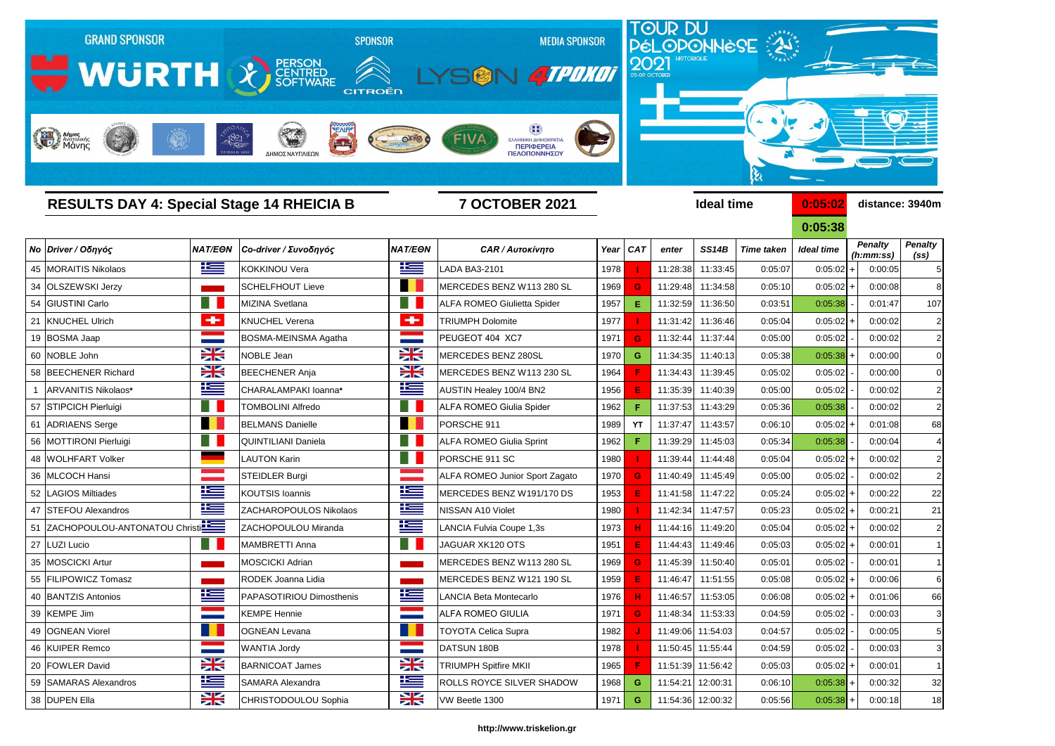

| <b>RESULTS DAY 4: Special Stage 14 RHEICIA B</b> |                                  |                       | <b>7 OCTOBER 2021</b>       |                          |                                       |      |            | <b>Ideal time</b> |                   | 0:05:02           | distance: 3940m   |                             |                                     |
|--------------------------------------------------|----------------------------------|-----------------------|-----------------------------|--------------------------|---------------------------------------|------|------------|-------------------|-------------------|-------------------|-------------------|-----------------------------|-------------------------------------|
|                                                  |                                  |                       |                             |                          |                                       |      |            |                   |                   |                   | 0:05:38           |                             |                                     |
|                                                  | Νο Driver / Οδηγός               | <b>NAT/EON</b>        | Co-driver / Συνοδηγός       | <b>NAT/EON</b>           | <b>CAR / Αυτοκίνητο</b>               |      | Year $CAT$ | enter             | <b>SS14B</b>      | <b>Time taken</b> | <b>Ideal time</b> | <b>Penalty</b><br>(h:mm:ss) | <b>Penalty</b><br>(s <sub>s</sub> ) |
|                                                  | 45   MORAITIS Nikolaos           | <u>ik s</u>           | <b>KOKKINOU Vera</b>        | <u>is </u>               | <b>LADA BA3-2101</b>                  | 1978 |            | 11:28:38          | 11:33:45          | 0:05:07           | 0:05:02           | 0:00:05                     | 5                                   |
|                                                  | 34 OLSZEWSKI Jerzy               |                       | <b>SCHELFHOUT Lieve</b>     | <b>Tara</b>              | MERCEDES BENZ W113 280 SL             | 1969 | G          | 11:29:48          | 11:34:58          | 0:05:10           | 0:05:02           | 0:00:08                     | 8                                   |
|                                                  | 54 GIUSTINI Carlo                |                       | <b>MIZINA Svetlana</b>      |                          | ALFA ROMEO Giulietta Spider           | 1957 | Е.         | 11:32:59          | 11:36:50          | 0:03:51           | 0:05:38           | 0:01:47                     | 107                                 |
|                                                  | 21 KNUCHEL Ulrich                | $\bullet$             | <b>KNUCHEL Verena</b>       | ÷                        | <b>TRIUMPH Dolomite</b>               | 1977 |            | 11:31:42          | 11:36:46          | 0:05:04           | 0:05:02           | 0:00:02                     | $\overline{\mathbf{c}}$             |
|                                                  | 19 BOSMA Jaap                    |                       | <b>BOSMA-MEINSMA Agatha</b> |                          | PEUGEOT 404 XC7                       | 1971 | G.         | 11:32:44          | 11:37:44          | 0:05:00           | 0:05:02           | 0:00:02                     | $\overline{2}$                      |
|                                                  | 60 NOBLE John                    | $\frac{1}{\sqrt{2}}$  | NOBLE Jean                  | X                        | MERCEDES BENZ 280SL                   | 1970 | G.         | 11:34:35          | 11:40:13          | 0:05:38           | 0:05:38           | 0:00:00                     | 0                                   |
|                                                  | 58 BEECHENER Richard             | $\frac{1}{2}$         | <b>BEECHENER Anja</b>       | X                        | MERCEDES BENZ W113 230 SL             | 1964 |            | 11:34:43          | 11:39:45          | 0:05:02           | 0:05:02           | 0:00:00                     |                                     |
|                                                  | ARVANITIS Nikolaos*              | 些                     | CHARALAMPAKI Ioanna*        | 些                        | AUSTIN Healey 100/4 BN2               | 1956 |            | 11:35:39          | 11:40:39          | 0:05:00           | 0:05:02           | 0:00:02                     | 2                                   |
|                                                  | 57 STIPCICH Pierluigi            |                       | <b>TOMBOLINI Alfredo</b>    |                          | <b>ALFA ROMEO Giulia Spider</b>       | 1962 |            | 11:37:53          | 11:43:29          | 0:05:36           | 0:05:38           | 0:00:02                     |                                     |
| 61                                               | <b>ADRIAENS</b> Serge            | n.                    | <b>BELMANS Danielle</b>     | <b>Tara</b>              | PORSCHE 911                           | 1989 | <b>YT</b>  | 11:37:47          | 11:43:57          | 0:06:10           | 0:05:02           | 0:01:08                     | 68                                  |
|                                                  | 56 MOTTIRONI Pierluigi           |                       | <b>QUINTILIANI Daniela</b>  |                          | <b>ALFA ROMEO Giulia Sprint</b>       | 1962 |            | 11:39:29          | 11:45:03          | 0:05:34           | 0:05:38           | 0:00:04                     |                                     |
|                                                  | 48   WOLHFART Volker             |                       | <b>LAUTON Karin</b>         |                          | PORSCHE 911 SC                        | 1980 |            | 11:39:44          | 11:44:48          | 0:05:04           | 0:05:02           | 0:00:02                     | 2                                   |
|                                                  | 36 MLCOCH Hansi                  |                       | <b>STEIDLER Burgi</b>       |                          | <b>ALFA ROMEO Junior Sport Zagato</b> | 1970 |            | 11:40:49          | 11:45:49          | 0:05:00           | 0:05:02           | 0:00:02                     | 2                                   |
|                                                  | 52   LAGIOS Miltiades            | 些                     | <b>KOUTSIS Ioannis</b>      | <u>resp</u>              | MERCEDES BENZ W191/170 DS             | 1953 |            | 11:41:58          | 11:47:22          | 0:05:24           | 0:05:02           | 0:00:22                     | 22                                  |
|                                                  | 47 STEFOU Alexandros             | <u>is s</u>           | ZACHAROPOULOS Nikolaos      | <u>ik –</u>              | NISSAN A10 Violet                     | 1980 |            | 11:42:34          | 11:47:57          | 0:05:23           | 0:05:02           | 0:00:21                     | 21                                  |
|                                                  | 51 ZACHOPOULOU-ANTONATOU Christi |                       | ZACHOPOULOU Miranda         | <u>ik –</u>              | LANCIA Fulvia Coupe 1,3s              | 1973 |            | 11:44:16          | 11:49:20          | 0:05:04           | 0:05:02           | 0:00:02                     | 2                                   |
|                                                  | 27  LUZI Lucio                   |                       | <b>MAMBRETTI Anna</b>       |                          | JAGUAR XK120 OTS                      | 1951 |            | 11:44:43          | 11:49:46          | 0:05:03           | 0:05:02           | 0:00:01                     |                                     |
|                                                  | 35   MOSCICKI Artur              |                       | <b>MOSCICKI Adrian</b>      |                          | MERCEDES BENZ W113 280 SL             | 1969 | G          | 11:45:39          | 11:50:40          | 0:05:01           | 0:05:02           | 0:00:01                     | 1                                   |
|                                                  | 55 FILIPOWICZ Tomasz             |                       | RODEK Joanna Lidia          |                          | MERCEDES BENZ W121 190 SL             | 1959 |            | 11:46:47          | 11:51:55          | 0:05:08           | 0:05:02           | 0:00:06                     |                                     |
|                                                  | 40 BANTZIS Antonios              | Ñ<br><u>expertise</u> | PAPASOTIRIOU Dimosthenis    | Ñ<br>$\sim$              | <b>LANCIA Beta Montecarlo</b>         | 1976 | H.         |                   | 11:46:57 11:53:05 | 0:06:08           | $0:05:02$ +       | 0:01:06                     | 66                                  |
|                                                  | 39 KEMPE Jim                     | <b>Contract</b>       | <b>KEMPE Hennie</b>         | <b>Contract Contract</b> | <b>ALFA ROMEO GIULIA</b>              | 1971 | G          | 11:48:34          | 11:53:33          | 0:04:59           | 0:05:02           | 0:00:03                     | 3                                   |
|                                                  | 49 OGNEAN Viorel                 |                       | <b>OGNEAN Levana</b>        | - 13                     | <b>TOYOTA Celica Supra</b>            | 1982 |            | 11:49:06          | 11:54:03          | 0:04:57           | 0:05:02           | 0:00:05                     | 5                                   |
|                                                  | 46 KUIPER Remco                  |                       | <b>WANTIA Jordy</b>         |                          | DATSUN 180B                           | 1978 |            | 11:50:45          | 11:55:44          | 0:04:59           | 0:05:02           | 0:00:03                     | 3                                   |
|                                                  | 20 FOWLER David                  | $\frac{1}{2}$         | <b>BARNICOAT James</b>      | X                        | <b>TRIUMPH Spitfire MKII</b>          | 1965 |            |                   | 11:51:39 11:56:42 | 0:05:03           | 0:05:02           | 0:00:01                     | $\mathbf 1$                         |
|                                                  | 59 SAMARAS Alexandros            | <u>ik –</u>           | SAMARA Alexandra            | ▙▆                       | <b>ROLLS ROYCE SILVER SHADOW</b>      | 1968 | G          | 11:54:21          | 12:00:31          | 0:06:10           | 0:05:38           | 0:00:32                     | 32                                  |
|                                                  | 38 DUPEN Ella                    | $\frac{1}{\sqrt{2}}$  | CHRISTODOULOU Sophia        | X                        | VW Beetle 1300                        | 1971 | G          | 11:54:36          | 12:00:32          | 0:05:56           | 0:05:38           | 0:00:18                     | 18                                  |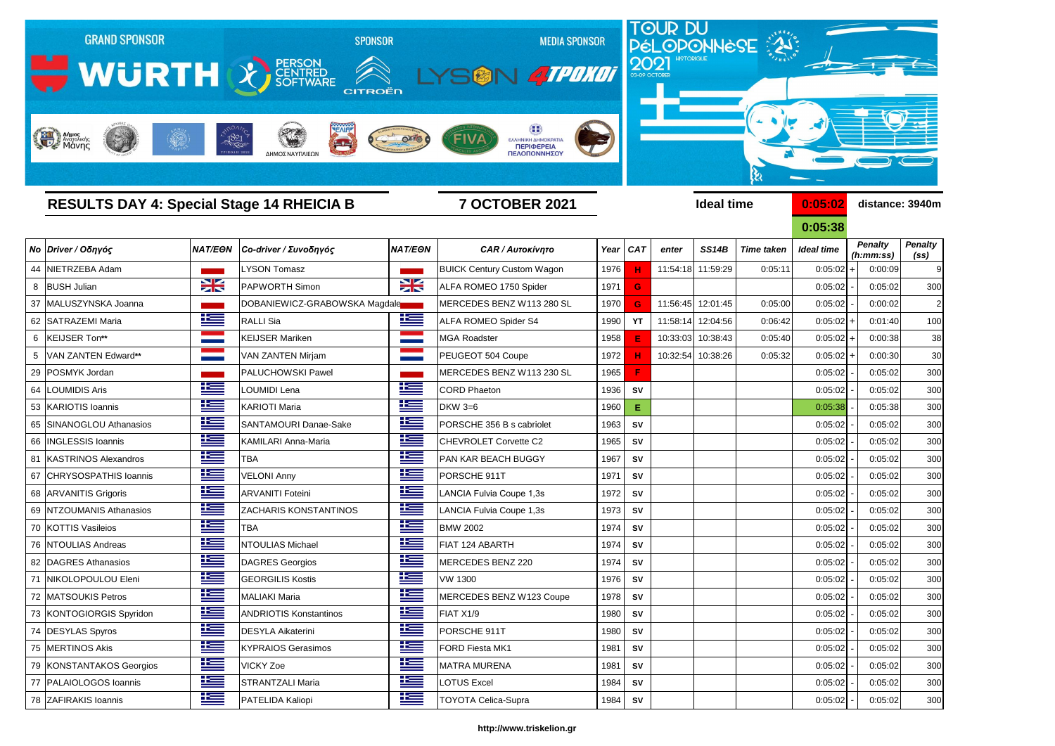

**0:05:38** *Penalty (ss) Penalty (h:mm:ss)*

|                |                          |                |                               |                |                                   |      |                 |          |                   |                   | UIUJIJO           |                    |                             |                                     |
|----------------|--------------------------|----------------|-------------------------------|----------------|-----------------------------------|------|-----------------|----------|-------------------|-------------------|-------------------|--------------------|-----------------------------|-------------------------------------|
|                | No Driver / Οδηγός       | <b>NAT/EON</b> | Co-driver / Συνοδηγός         | <b>NAT/EON</b> | <b>CAR / Αυτοκίνητο</b>           | Year | CA <sub>7</sub> | enter    | <b>SS14B</b>      | <b>Time taken</b> | <b>Ideal time</b> |                    | <b>Penalty</b><br>(h:mm:ss) | <b>Penalty</b><br>(s <sub>s</sub> ) |
|                | 44 NIETRZEBA Adam        |                | LYSON Tomasz                  |                | <b>BUICK Century Custom Wagon</b> | 1976 | н               |          | 11:54:18 11:59:29 | 0:05:11           | 0:05:02           | $+$                | 0:00:09                     | ç                                   |
|                | 8 BUSH Julian            | X              | <b>PAPWORTH Simon</b>         | X              | ALFA ROMEO 1750 Spider            | 1971 | G               |          |                   |                   | 0:05:02           |                    | 0:05:02                     | 300                                 |
|                | 37 MALUSZYNSKA Joanna    |                | DOBANIEWICZ-GRABOWSKA Magdale |                | MERCEDES BENZ W113 280 SL         | 1970 | G               | 11:56:45 | 12:01:45          | 0:05:00           | 0:05:02           |                    | 0:00:02                     | 2                                   |
|                | 62 SATRAZEMI Maria       | 些              | <b>RALLI Sia</b>              | <u>ik se</u>   | <b>ALFA ROMEO Spider S4</b>       | 1990 | <b>YT</b>       | 11:58:14 | 12:04:56          | 0:06:42           | $0:05:02$ +       |                    | 0:01:40                     | 10 <sub>C</sub>                     |
|                | 6  KEIJSER Ton**         |                | <b>KEIJSER Mariken</b>        |                | MGA Roadster                      | 1958 | Е               | 10:33:03 | 10:38:43          | 0:05:40           | $0:05:02$ +       |                    | 0:00:38                     | 38                                  |
| 5 <sub>1</sub> | VAN ZANTEN Edward**      |                | VAN ZANTEN Mirjam             |                | PEUGEOT 504 Coupe                 | 1972 |                 | 10:32:54 | 10:38:26          | 0:05:32           | 0:05:02           | $\left  + \right $ | 0:00:30                     | 3 <sub>C</sub>                      |
|                | 29 POSMYK Jordan         |                | <b>PALUCHOWSKI Pawel</b>      |                | MERCEDES BENZ W113 230 SL         | 1965 | F               |          |                   |                   | 0:05:02           |                    | 0:05:02                     | 300                                 |
| 64             | <b>LOUMIDIS Aris</b>     | <u>is </u>     | LOUMIDI Lena                  | <u>ik s</u>    | <b>CORD Phaeton</b>               | 1936 | SV              |          |                   |                   | 0:05:02           |                    | 0:05:02                     | 300                                 |
|                | 53 KARIOTIS Ioannis      | <u>ik –</u>    | <b>KARIOTI Maria</b>          | ٢              | <b>DKW 3=6</b>                    | 1960 | E.              |          |                   |                   | 0:05:38           |                    | 0:05:38                     | 300                                 |
|                | 65 SINANOGLOU Athanasios | 些              | <b>SANTAMOURI Danae-Sake</b>  | ٢              | PORSCHE 356 B s cabriolet         | 1963 | <b>SV</b>       |          |                   |                   | 0:05:02           |                    | 0:05:02                     | <b>300</b>                          |
|                | 66   INGLESSIS Ioannis   | <u>is s</u>    | <b>KAMILARI Anna-Maria</b>    | <u>ik –</u>    | CHEVROLET Corvette C2             | 1965 | SV              |          |                   |                   | 0:05:02           |                    | 0:05:02                     | 300                                 |
|                | 81 KASTRINOS Alexandros  | 些              | <b>TBA</b>                    | 些              | <b>PAN KAR BEACH BUGGY</b>        | 1967 | SV              |          |                   |                   | 0:05:02           |                    | 0:05:02                     | 300                                 |
|                | 67 CHRYSOSPATHIS Ioannis | <u>is s</u>    | <b>VELONI Anny</b>            | <u>is a</u>    | PORSCHE 911T                      | 1971 | SV              |          |                   |                   | 0:05:02           |                    | 0:05:02                     | 300                                 |
|                | 68 ARVANITIS Grigoris    | 些              | <b>ARVANITI Foteini</b>       | 些              | LANCIA Fulvia Coupe 1,3s          | 1972 | <b>SV</b>       |          |                   |                   | 0:05:02           |                    | 0:05:02                     | 30 <sub>C</sub>                     |
|                | 69 NTZOUMANIS Athanasios | <u>is a</u>    | <b>ZACHARIS KONSTANTINOS</b>  | 些              | LANCIA Fulvia Coupe 1,3s          | 1973 | SV              |          |                   |                   | 0:05:02           |                    | 0:05:02                     | 300                                 |
|                | 70 KOTTIS Vasileios      | <u>is –</u>    | <b>TBA</b>                    | 些              | <b>BMW 2002</b>                   | 1974 | <b>SV</b>       |          |                   |                   | 0:05:02           |                    | 0:05:02                     | <b>300</b>                          |
|                | 76 NTOULIAS Andreas      | <u>ik –</u>    | <b>NTOULIAS Michael</b>       | 些              | FIAT 124 ABARTH                   | 1974 | SV              |          |                   |                   | 0:05:02           |                    | 0:05:02                     | 300                                 |
|                | 82 DAGRES Athanasios     | 些              | <b>DAGRES Georgios</b>        | 些              | MERCEDES BENZ 220                 | 1974 | <b>SV</b>       |          |                   |                   | 0:05:02           |                    | 0:05:02                     | 30 <sub>C</sub>                     |
|                | 71 NIKOLOPOULOU Eleni    | 些              | <b>GEORGILIS Kostis</b>       | <u> اکتا</u>   | <b>VW 1300</b>                    | 1976 | SV              |          |                   |                   | 0:05:02           |                    | 0:05:02                     | 300                                 |
|                | 72 MATSOUKIS Petros      | <u>is </u>     | <b>MALIAKI Maria</b>          | <u>tes</u>     | MERCEDES BENZ W123 Coupe          | 1978 | SV              |          |                   |                   | 0:05:02           |                    | 0:05:02                     | <b>300</b>                          |
|                | 73 KONTOGIORGIS Spyridon | <u>is </u>     | <b>ANDRIOTIS Konstantinos</b> | <u>is a</u>    | FIAT X1/9                         | 1980 | <b>SV</b>       |          |                   |                   | 0:05:02           |                    | 0:05:02                     | 300                                 |
|                | 74 DESYLAS Spyros        | <u>i i —</u>   | <b>DESYLA Aikaterini</b>      | <u>i i —</u>   | PORSCHE 911T                      | 1980 | <b>SV</b>       |          |                   |                   | 0:05:02           |                    | 0:05:02                     | 300                                 |
|                | 75 MERTINOS Akis         | Ħ              | <b>KYPRAIOS Gerasimos</b>     | <u>ik –</u>    | FORD Fiesta MK1                   | 1981 | SV              |          |                   |                   | 0:05:02           |                    | 0:05:02                     | 30 <sub>C</sub>                     |
|                | 79 KONSTANTAKOS Georgios | $\pm$          | <b>VICKY Zoe</b>              | <u>ik –</u>    | <b>MATRA MURENA</b>               | 1981 | SV              |          |                   |                   | 0:05:02           |                    | 0:05:02                     | 30 <sub>C</sub>                     |
|                | 77 PALAIOLOGOS Ioannis   | <u>iks</u>     | <b>STRANTZALI Maria</b>       | <u>is</u>      | <b>LOTUS Excel</b>                | 1984 | ${\sf SV}$      |          |                   |                   | 0:05:02           |                    | 0:05:02                     | 300                                 |
|                | 78 ZAFIRAKIS Ioannis     | <u>is </u>     | PATELIDA Kaliopi              | 上三             | <b>TOYOTA Celica-Supra</b>        | 1984 | <b>SV</b>       |          |                   |                   | 0:05:02           |                    | 0:05:02                     | 300                                 |